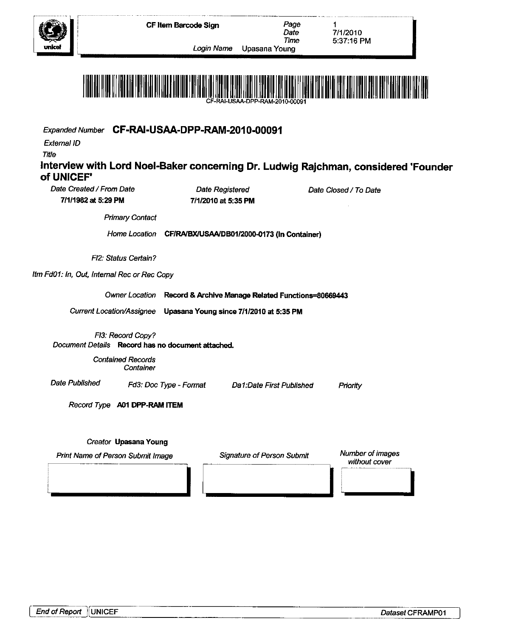

Date

1

Time Login Name Upasana Young



Expanded Number CF-RAI-USAA-DPP-RAM-2010-00091

External ID

Title

### **Interview with Lord Noel-Baker concerning Dr. Ludwig Rajchman, considered "Founder of UNICEF<sup>1</sup>** Date Created/From Date Date Registered

**7/1/1982 at 5:29 PM 7/1/2010 at 5:35 PM**

Date Closed/ To Date

Primary Contact

Home Location **CF/RA/BX/USAA/DB01/2000-0173 (In Container)**

FI2: Status Certain?

Itm FdO1: In, Out, Internal Rec or Rec Copy

Owner Location **Record & Archive Manage Related Functions=80669443**

Current Location/Assignee **Upasana Young since 7/1/2010 at 5:35 PM**

FI3: Record Copy? Document Details **Record has no document attached.**

> Contained Records Container

Date Published Fd3: Doc Type - Format

Da1:Date First Published Priority

Record Type **A01 DPP-RAM ITEM**

### Creator **Upasana Young**

Print Name of Person Submit Image Signature of Person Submit Number of images

Signature of Person Submit

without cover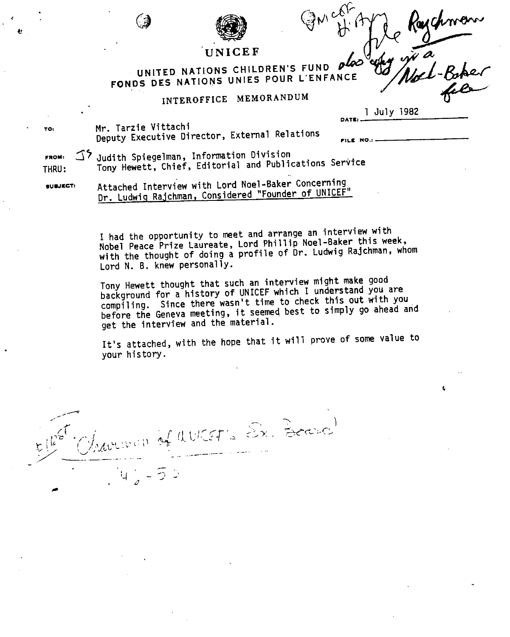

# UNITED NATIONS CHILDREN'S FUND UNITED NATIONS UNIED RED L'ENFANCE

## **INTEROFFICE MEMORANDUM**

1 July 1982

**DATE) -**

Mr. Tarzie Vittachi<br>- , , E<sub>ncent</sub>ius Dimector External Relatio **Deputy Executive Director, External Relations ^ ^**

**FROM: 3 ^ Judith Spiegelman, Information Division<sup>t</sup> THRU: Tony Hewett, Chief, Editorial and Publications Service**

**suwtcr: Attached Interview with Lord Noel-Baker Concerning** Dr. Ludwig Rajchman, Considered "Founder of UNICEF"

> **I had the opportunity to meet and arrange an Interview with Nobel Peace Prize Laureate, Lord Phillip Noel-Baker this week, with the thought of doing a profile of Dr. Ludwig Rajchman, whom Lord N. B. knew personally.**

> **Tony Hewett thought that such an interview might make good background for a history of UNICEF which I understand you are** compiling. Since there wasn't time to check this out with you **before the Geneva meeting, it seemed best to simply go ahead and get the interview and the material.**

> **It's attached, with the hope that it will prove of some value to your history.**

 $\psi$ ;  $\psi$  : 4  $\psi$  (1  $\psi$  CET 's  $\mathcal{E}_{\mathbf{x}}$ . Bease)

 $z\stackrel{\text{\tiny def}}{=} \bigcup_{\mathcal{M}}\mathcal{M}$ 

TO:

 $\mathbf{r}$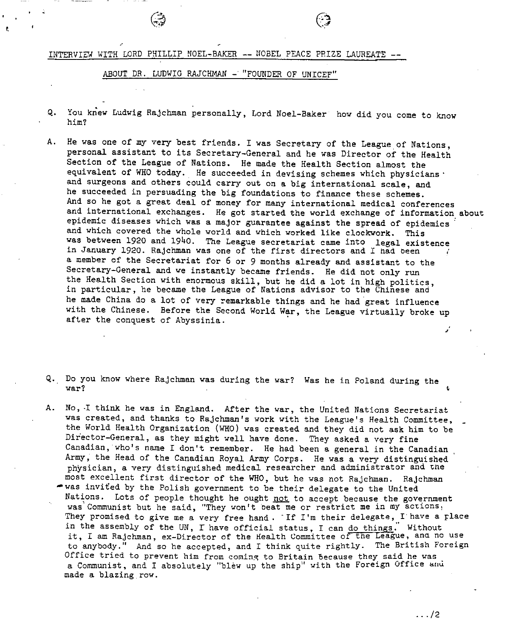INTERVIEW WITH LORD PHILLIP NOEL-BAKER -- NOBEL PEACE PRIZE LAUREATE --

ABOUT DR. LUDWIG RAJCHMAN - "FOUNDER OF UNICEF"

- Q. You knew Ludwig Rajchman personally, Lord Noel-Baker how did you come to know him?
- A. He was one of my very best friends. I was Secretary of the League of Nations, personal assistant to its Secretary-General and he was Director of the Health Section of the League of Nations. He made the Health Section almost the equivalent of WHO today. He succeeded in devising schemes which physicians · and surgeons and others could carry out on a big international scale, and he succeeded in persuading the big foundations to finance these schemes. And so he got a great deal of money for many international medical conferences and international exchanges. He got started the world exchange of information about epidemic diseases which was a major guarantee against the spread of epidemics and which covered the whole world and which worked like clockwork. This was between 1920 and 1940. The League secretariat came into legal existence in January 1920. Rajchman was one of the first directors and I nad Deen a member of the Secretariat for 6 or 9 months already and assistant to the Secretary-General and we instantly became friends. He did not only run the Health Section with enormous skill, but he did a lot in high politics, in particular, he became the League of Nations advisor to the Chinese and he made China do a lot of very remarkable things and he had great influence with the Chinese. Before the Second World War, the League virtually broke up after the conquest of Abyssinia.
- Q. Do you know where Rajchman was during the war? Was he in Poland during the war?  $\sim$  . The contract of the contract of the contract of the contract of the contract of the contract of the contract of the contract of the contract of the contract of the contract of the contract of the contract of t
- A. No, -I think he was in England. After the war, the United Nations Secretariat was created, and thanks to Rajchman's work with the League's Health Committee, the World Health Organization (WHO) was created and they did not ask him to be Director-General, as they might well have done. They asked a very fine Canadian, who's name I don't remember. He had been a general in the Canadian Army, the Head of the Canadian Royal Army Corps. He was a very distinguished physician, a very distinguished medical researcher and administrator and zne most excellent first director of the WHO, but he was not Rajchman. Rajchman
	- $*$  was invited by the Polish government to be their delegate to the United Nations. Lots of people thought he ought not to accept because the government was'Communist but he said, "They won't beat me or restrict me in my actions. They promised to give me a very free hand . "If I'm their delegate, I'have a place in the assembly of the UN, I have official status, I can do things." Without it, I am Rajchman, ex-Director of the Health Committee of tne League, ana no use to anybody." And so he accepted, and I think quite rightly. The British Foreign Office tried to prevent him from coming to Britain because they said he was a Communist, and I absolutely "blew up the ship" with the Foreign Office and made a blazing.row.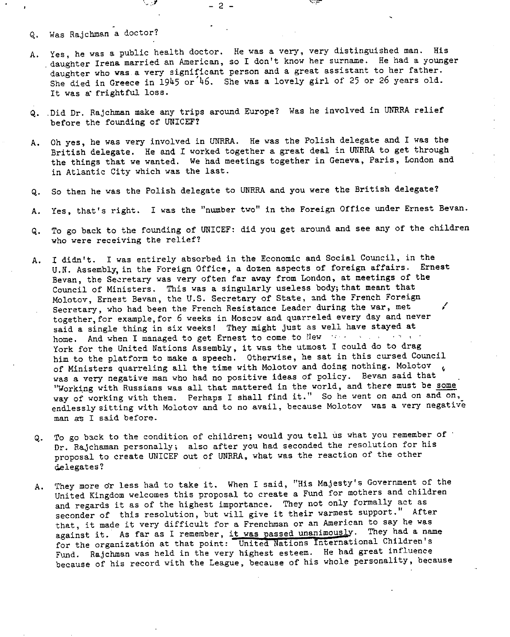- Q. Was Rajchman a doctor?
- A. Yes, he was a public health doctor. He was a very, very distinguished man. His daughter Irena married an American, so I don't know her surname. He had a younger daughter who was a very significant person and a great assistant to her father. She died in Greece in  $1945$  or<sup>'46</sup>. She was a lovely girl of 25 or 26 years old. It was a" frightful loss.

- 2 -

- Q. .Did Dr. Rajchman make any trips around Europe? Was he involved in UNRRA relief before the founding of UNICEF?
- A. Oh yes, he was very involved in UNRRA. He was the Polish delegate and I was the British delegate. He and I worked together a great deal in UNRRA to get through the things that we wanted. We had meetings together in Geneva, Paris, London and in Atlantic City which was the last.
- Q. So then he was the Polish delegate to UNRRA and you were the British delegate?
- A. Yes, that's right. I was the "number two" in the Foreign Office under Ernest Bevan.
- Q. To go back to the founding of UNICEF: did you get around and see any of the children who were receiving the relief?
- A. I didn't. I was entirely absorbed in the Economic and Social Council, in the U.N. Assembly, in the Foreign Office, a dozen aspects of foreign affairs. Ernest Bevan, the Secretary was very often far away from London, at meetings of the Council of Ministers. This was a singularly useless body; that meant that Molotov, Ernest Bevan, the U.S. Secretary of State, and the French Foreign Secretary, who had been the French Resistance Leader during the war, met / together,for example,for 6 weeks in Moscow and quarreled every day and never said a single thing in six weeks! They might just as well have stayed at home. And when I managed to get Ernest to come to New expression of a set of a York for the United Nations Assembly, it was the utmost I could do to drag him to the platform to make a speech. Otherwise, he sat in this cursed Council of Ministers quarreling all the time with Molotov and doing nothing. Molotov  $\epsilon$ was a very negative man who had no positive ideas of policy. Bevan said that "Working with Russians was all that mattered in the world, and there must be some way of working with them. Perhaps I shall find it." So he went on and on and on, endlessly sitting with Molotov and to no avail, because Molotov was a very negative man as I said before.
- Q. To go back to the condition of children; would you tell us what you remember of Dr. Rajchaman personally; also after you had seconded the resolution for his proposal to create UNICEF out of UNRRA, what was the reaction of the other delegates?
- A. They more or less had to take it. When I said, "His Majesty's Government of the United Kingdom welcomes this proposal to create a Fund for mothers and children and regards it as of the highest importance. They not only formally act as seconder of this resolution, but will give it their warmest support." After that, it made it very difficult for a Frenchman or an American to say he was against it. As far as I remember, it was passed unanimously. They had a name for the organization at that point: United Nations International Children's Fund. Rajchman was held in the very highest esteem. He had great influence because of his record with the League, because of his whole personality, because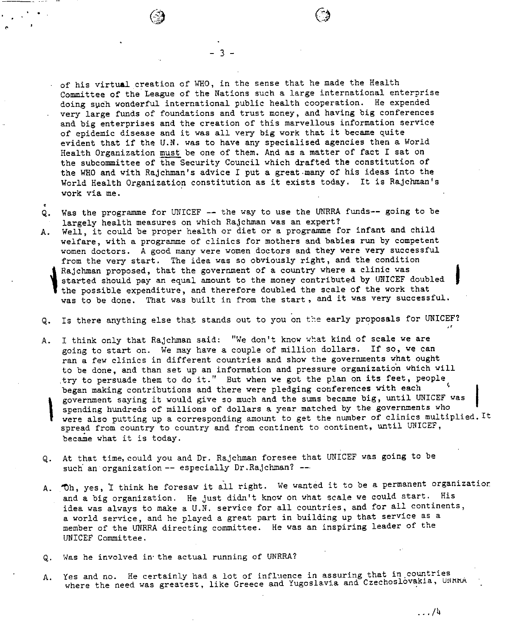- 3 -

• of his virtual creation of WHO, in the sense that he made the Health Committee of the League of the Nations such a large international enterprise doing such wonderful international public health cooperation. He expended very large funds of foundations and trust money, and having big conferences and big enterprises and the creation of this marvellous information service of epidemic disease and it was all very big work that it became quite evident that if the U.N. was to have any specialised agencies then a World Health Organization must be one of them. And as a matter of fact I sat on the subcommittee of the Security Council which drafted the constitution of the WHO and with Rajchman's advice I put a great-many of his ideas into the World Health Organization constitution as it exists today. It is Rajchman's work via me.

- e Q. Was the programme for UNICEF — the way to use the UNRRA funds— going to be largely health measures on which Rajchman was an expert?
- A. Well, it could be proper health or diet or a programme for infant and child welfare, with a programme of clinics for mothers and babies run by competent women doctors. A good many were women doctors and they were very successful from the very start. The idea was so obviously right, and the condition Rajchman proposed, that the government of a country where a clinic was started should pay an equal amount to the money contributed by UNICEF doubled the possible expenditure, and therefore doubled the scale of the work that was to be done. That was built in from the start , and it was very successful.
- Q. Is there anything else that stands out to you on the early proposals for UNICEF?
- A. I think only that Rajchman said: "We don't know what kind of scale we are going to start on. We may have a couple of million dollars. If so, we can ran a few clinics in different countries and show the governments what ought to be done, and than set up an information and pressure organization which will try to persuade them to do it." But when we got the plan on its feet, people began making contributions and there were pledging conferences with each government saying it would give so much and the sums became big, until UNICEF was I spending hundreds of millions of dollars a year matched by the governments who were also putting up a corresponding amount to get the number of clinics multiplied. It spread from country to country and from continent to continent, until UNICEF, became what it is today.
- Q. At that time, could you and Dr. Rajchman foresee that UNICEF was going to be such an organization -- especially Dr.Rajchman? --
- A. Oh, yes, I think he foresaw it all right. We wanted it to be a permanent organization and a big organization. He just didn't know on what scale we could start. His idea was always to make a U.N. service for all countries, and for all continents, a world service, and he played a great part in building up that service as a member of the UNRRA directing committee. He was an inspiring leader of the UNICEF Committee.
- Q. Was he involved in- the actual running of UNRRA?
- Yes and no. He certainly had a lot of influence in assuring that in  $\frac{1000}{1000}$ where the need was greatest, like Greece and Yugoslavia and Czechoslovakia, A. Yes and no. He certainly had a lot of influence in assuring that in countries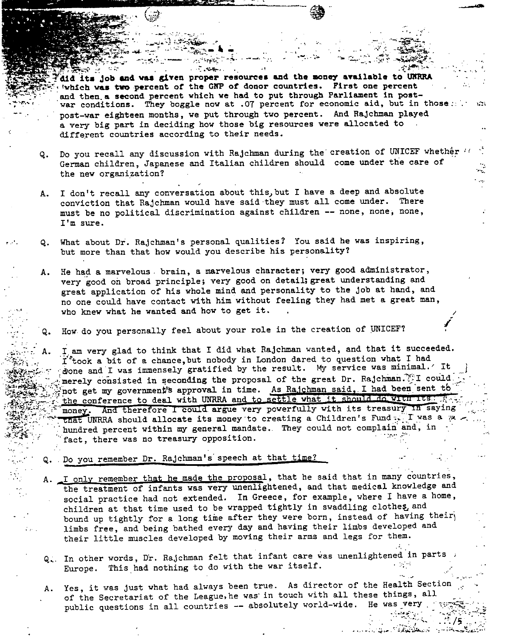**<sup>r</sup>dld it« Job «nd vaa given proper resources and the aoney available to UKHRA** 'vhleh **was two percent** of the GKP **of** donor countries. First **one percent** and then.a second percent which ve had to put through Parliament in postwar conditions. They boggle now at .07 percent for economic aid, but in those: post-war eighteen months, we put through two percent. And Rajchman played a very big part in deciding how those big resources were allocated to different countries according to their needs.

- Q. Do you recall any discussion with Rajchman during the creation of UNICEF whether German children, Japanese and Italian children should come under the care of the new organization?
- A. I don't recall any conversation about this, but I have a deep and absolute conviction that Rajchman would have said they must all come under. There must be no political discrimination against children — none, nonej none, I'm sure.
- Q. What about Dr. Rajchman's personal qualities? You said he was inspiring, but more than that how would you describe his personality?
- A. He had a marvelous . brain, a marvelous character; very good administrator, very good oh broad principle; very good on detail; great understanding and great application of his whole mind and personality to the job at hand, and no one could have contact with him without feeling they had met a great man, who knew what he wanted and how to get it.
	- How do you personally feel about your role in the creation of UNICEF?

I. am very glad to think that I did what Rajchman wanted, and that it succeeded. I'took a bit of a chance, but nobody in London dared to question what I had done and I was immensely gratified by the result. My service was minimal.' It merely consisted in seconding the proposal of the great Dr. Rajchman.  $\mathbb{F}I$  could. not get my government's approval in time. As Rajchman said, I had been sent tb the conference to deal with UNRRA and to settle what it should do with its.  $\frac{1}{2}$ that UNRRA should allocate its money to creating a Children's Fund  $\sqrt{I}$  was a  $\approx$  $i_{\ell}$  is thundred percent within my general mandate. They could not complain and, in money. And therefore I could argue very powerfully with its treasury in saying fact, there was no treasury opposition.

/

 $\mathcal{L}^{\mathcal{L}}$  .  $\mathcal{L}^{\mathcal{L}}$   $\mathcal{L}^{\mathcal{L}}$   $\mathcal{L}^{\mathcal{L}}$  .

;-. /s.

Q. Do you remember Dr. Rajchman's speech at that time?

A.

•\*\*<sup>v</sup>s

- A. I only remember that he made the proposal, that he said that in many countries, the treatment of infants was very unenlightened, and that medical knowledge and social practice had not extended. In Greece, for example, where I have a home, children at that time used to be wrapped tightly in swaddling clothes and bound up tightly for a long time after they were born, instead of having their limbs free, and being bathed every day and having their limbs developed and their little muscles developed by moving their arms and legs for them.
- Q. In other words, Dr. Rajchman felt that infant care was unenlightened in parts ;<br>Ture is a philosophia to do with the war itself. Europe. This had nothing to do with the war itself.
- Yes, it was just what had always been true. As director of the Health Section of the Secretariat of the League, he was in touch with all these things, all public questions in all countries  $-$  absolutely world-wide. He was very A.